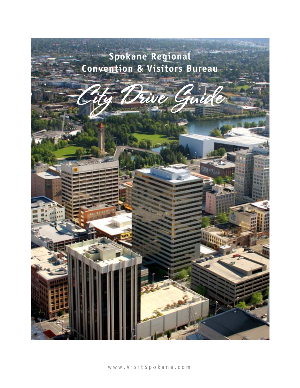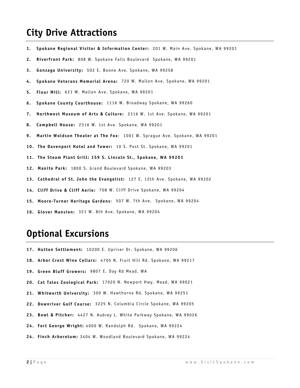# **City Drive Attractions**

- **1. Spokane Regional Visitor & Information Center:** 201 W. Main Ave. Spokane, WA 99201
- **2. Riverfront Park:** 808 W. Spokane Falls Boulevard Spokane, WA 99201
- **3. Gonzaga University:** 502 E. Boone Ave. Spokane, WA 99258
- **4. Spokane Veterans Memorial Arena:** 720 W. Mallon Ave. Spokane, WA 99201
- **5. Flour Mill:** 621 W. Mallon Ave. Spokane, WA 99201
- **6. Spokane County Courthouse:** 1116 W. Broadway Spokane, WA 99260
- **7. Northwest Museum of Arts & Culture:** 2316 W. 1st Ave. Spokane, WA 99201
- **8. Campbell House:** 2316 W. 1st Ave. Spokane, WA 99201
- **9. Martin Woldson Theater at The Fox**: 1001 W. Sprague Ave. Spokane, WA 99201
- **10. The Davenport Hotel and Tower:** 10 S. Post St. Spokane, WA 99201
- **11. The Steam Plant Grill: 159 S. Lincoln St., Spokane, WA 99201**
- **12. Manito Park:** 1800 S. Grand Boulevard Spokane, WA 99203
- **13. Cathedral of St. John the Evangelist:** 127 E. 12th Ave. Spokane, WA 99202
- **14. Cliff Drive & Cliff Aerie:** 708 W. Cliff Drive Spokane, WA 99204
- **15. Moore-Turner Heritage Gardens** : 507 W. 7th Ave. Spokane, WA 99204
- **16. Glover Mansion:** 321 W. 8th Ave. Spokane, WA 99204

# **Optional Excursions**

- **17. Hutton Settlement:** 10200 E. Upriver Dr. Spokane, WA 99206
- **18. Arbor Crest Wine Cellars:** 4705 N. Fruit Hill Rd. Spokane, WA 99217
- **19. Green Bluff Growers:** 9807 E. Day Rd Mead, WA
- **20. Cat Tales Zoological Park:** 17020 N. Newport Hwy. Mead, WA 99021
- **21. Whitworth University:** 300 W. Hawthorne Rd. Spokane, WA 99251
- **22. Downriver Golf Course:** 3225 N. Columbia Circle Spokane, WA 99205
- **23. Bowl & Pitcher:** 4427 N. Aubrey L. White Parkway Spokane, WA 99026
- **24. Fort George Wright:** 4000 W. Randolph Rd. Spokane, WA 99224
- **24. Finch Arboretum:** 3404 W. Woodland Boulevard Spokane, WA 99224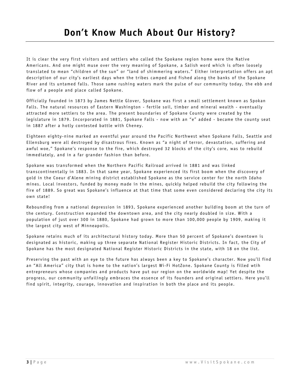It is clear the very first visitors and settlers who called the Spokane region home were the Native Americans. And one might muse over the very meaning of Spokane, a Salish word which is often loosely translated to mean "children of the sun" or "land of shimmering waters." Either interpretation offers an apt description of our city's earliest days when the tribes camped and fished along the banks of the Spokane River and its untamed falls. Those same rushing waters mark the pulse of our community today, the ebb and flow of a people and place called Spokane.

Officially founded in 1873 by James Nettle Glover, Spokane was first a small settlement known as Spokan Falls. The natural resources of Eastern Washington - fertile soil, timber and mineral wealth - eventually attracted more settlers to the area. The present boundaries of Spokane County were created by the legislature in 1879. Incorporated in 1881, Spokane Falls - now with an "e" added - became the county seat in 1887 after a hotly contested battle with Cheney.

Eighteen eighty-nine marked an eventful year around the Pacific Northwest when Spokane Falls, Seattle and Ellensburg were all destroyed by disastrous fires. Known as "a night of terror, devastation, suffering and awful woe," Spokane's response to the fire, which destroyed 32 blocks of the city's core, was to rebuild immediately, and in a far grander fashion than before.

Spokane was transformed when the Northern Pacific Railroad arrived in 1881 and was linked transcontinentally in 1883. In that same year, Spokane experienced its first boom when the discovery of gold in the Coeur d'Alene mining district established Spokane as the service center for the north Idaho mines. Local investors, funded by money made in the mines, quickly helped rebuild the city following the fire of 1889. So great was Spokane's influence at that time that some even considered declaring the city its own state!

Rebounding from a national depression in 1893, Spokane experienced another building boom at the turn of the century. Construction expanded the downtown area, and the city nearly doubled in size. With a population of just over 300 in 1880, Spokane had grown to more than 100,000 people by 1909, making it the largest city west of Minneapolis.

Spokane retains much of its architectural history today. More than 50 percent of Spokane's downtown is designated as historic, making up three separate National Register Historic Districts. In fact, the City of Spokane has the most designated National Register Historic Districts in the state, with 18 on the list.

Preserving the past with an eye to the future has always been a key to Spokane's character. Now you'll find an "All America" city that is home to the nation's largest Wi-Fi HotZone. Spokane County is filled wtih entrepreneurs whose companies and products have put our region on the worldwide map! Yet despite the progress, our community unfailingly embraces the essence of its founders and original settlers. Here you'll find spirit, integrity, courage, innovation and inspiration in both the place and its people.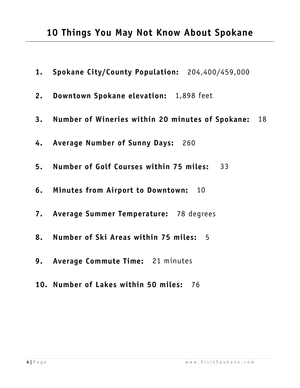- **1. Spokane City/County Population:** 204,400/459,000
- **2. Downtown Spokane elevation:** 1,898 feet
- **3. Number of Wineries within 20 minutes of Spokane:** 18
- **4. Average Number of Sunny Days:** 260
- **5. Number of Golf Courses within 75 miles:** 33
- **6. Minutes from Airport to Downtown:** 10
- **7. Average Summer Temperature:** 78 degrees
- **8. Number of Ski Areas within 75 miles:** 5
- **9. Average Commute Time:** 21 minutes
- **10. Number of Lakes within 50 miles:** 76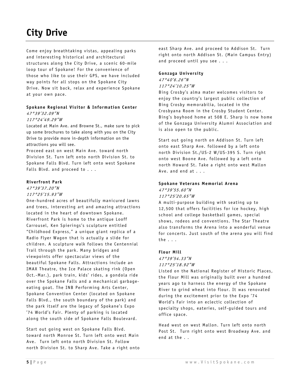# **City Drive**

Come enjoy breathtaking vistas, appealing parks and interesting historical and architectural structures along the City Drive, a scenic 60-mile loop tour of Spokane! For the convenience of those who like to use their GPS, we have included way points for all stops on the Spokane City Drive. Now sit back, relax and experience Spokane at your own pace.

#### **Spokane Regional Visitor & Information Center**  47°39'32.09"N

#### 117°24'49.29"W

Located at Main Ave. and Browne St., make sure to pick up some brochures to take along with you on the City Drive to provide more in-depth information on the attractions you will see.

Proceed east on west Main Ave. toward north Division St. Turn left onto north Division St. to Spokane Falls Blvd. Turn left onto west Spokane Falls Blvd. and proceed to . . .

#### **Riverfront Park**

#### 47°39'37.20"N 117°25'15.93"W

One-hundred acres of beautifully manicured lawns and trees, interesting art and amazing attractions located in the heart of downtown Spokane. Riverfront Park is home to the antique Looff Carrousel, Ken Spierings's sculpture entitled "Childhood Express," a unique giant replica of a Radio Flyer Wagon that is actually a slide for children. A sculpture walk follows the Centennial Trail through the park. Many bridges and viewpoints offer spectacular views of the beautiful Spokane Falls. Attractions include an IMAX Theatre, the Ice Palace skating rink (Open Oct.-Mar.), park train, kids' rides, a gondola ride over the Spokane Falls and a mechanical garbageeating goat. The INB Performing Arts Center, Spokane Convention Center (located on Spokane Falls Blvd., the south boundary of the park) and the park itself are the legacy of Spokane's Expo '74 World's Fair. Plenty of parking is located along the south side of Spokane Falls Boulevard.

Start out going west on Spokane Falls Blvd. toward north Monroe St. Turn left onto west Main Ave. Turn left onto north Division St. Follow north Division St. to Sharp Ave. Take a right onto east Sharp Ave. and proceed to Addison St. Turn right onto north Addison St. (Main Campus Entry) and proceed until you see . . .

#### **Gonzaga University**

#### 47°40'6.26"N 117°24'10.25"W

Bing Crosby's alma mater welcomes visitors to enjoy the country's largest public collection of Bing Crosby memorabilia, located in the Crosbyana Room in the Crosby Student Center. Bing's boyhood home at 508 E. Sharp is now home of the Gonzaga University Alumni Association and is also open to the public.

Start out going north on Addison St. Turn left onto east Sharp Ave. followed by a left onto north Division St./US-2 W/US-395 S. Turn right onto west Boone Ave. followed by a left onto north Howard St. Take a right onto west Mallon Ave. and end at . . .

#### **Spokane Veterans Memorial Arena**

#### 47°39'55.60"N

117°25'20.65"W

A multi-purpose building with seating up to 12,500 that offers facilities for ice hockey, high school and college basketball games, special shows, rodeos and conventions. The Star Theatre also transforms the Arena into a wonderful venue for concerts. Just south of the arena you will find the . . .

#### **Flour Mill**

47°39'54.33"N

117°25'18.92"W

Listed on the National Register of Historic Places, the Flour Mill was originally built over a hundred years ago to harness the energy of the Spokane River to grind wheat into flour. It was renovated during the excitement prior to the Expo '74 World's Fair into an eclectic collection of specialty shops, eateries, self-guided tours and office space.

Head west on west Mallon. Turn left onto north Post St. Turn right onto west Broadway Ave. and end at the . .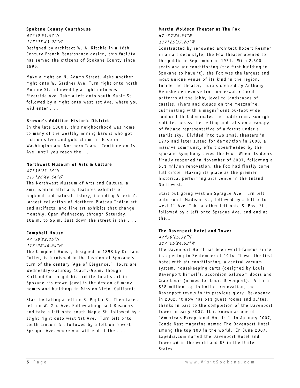#### **Spokane County Courthouse**

47°39'51.87"N 117°25'43.92"W

Designed by architect W. A. Ritchie in a 16th Century French Renaissance design, this facility has served the citizens of Spokane County since 1895.

Make a right on N. Adams Street. Make another right onto W. Gardner Ave. Turn right onto north Monroe St. followed by a right onto west Riverside Ave. Take a left onto south Maple St. followed by a right onto west 1st Ave. where you will enter . . .

#### **Browne's Addition Historic District**

In the late 1800's, this neighborhood was home to many of the wealthy mining barons who got rich on silver and gold claims in Eastern Washington and Northern Idaho. Continue on 1st Ave. until you reach the . . .

#### **Northwest Museum of Arts & Culture**

#### 47°39'23.16"N 117°26'46.64"W

The Northwest Museum of Arts and Culture, a Smithsonian affiliate, features exhibits of regional and natural history, including America's largest collection of Northern Plateau Indian art and artifacts, and fine art exhibits that change monthly. Open Wednesday through Saturday, 10a.m. to 5p.m. Just down the street is the . . .

#### **Campbell House**

#### 47°39'23.16"N 117°26'46.64"W

The Campbell House, designed in 1898 by Kirtland Cutter, is furnished in the fashion of Spokane's turn of the century 'Age of Elegance.' Hours are Wednesday-Saturday 10a.m.-5p.m. Though Kirtland Cutter got his architectural start in Spokane his crown jewel is the design of many homes and buildings in Mission Viejo, California.

Start by taking a left on S. Poplar St. Then take a left on W. 2nd Ave. Follow along past Rosauers and take a left onto south Maple St. followed by a slight right onto west 1st Ave. Turn left onto south Lincoln St. followed by a left onto west Sprague Ave. where you will end at the . . .

#### **Martin Woldson Theater at The Fox 47**°39'24.55"N

#### 117°25'37.20"W

Constructed by renowned architect Robert Reamer in an art deco style, the Fox Theater opened to the public in September of 1931. With 2,300 seats and air conditioning (the first building in Spokane to have it), the Fox was the largest and most unique venue of its kind in the region. Inside the theater, murals created by Anthony Heinsbergen evolve from underwater floral patterns at the lobby level to landscapes of castles, rivers and clouds on the mezzanine, culminating with a magnificent 60-foot wide sunburst that dominates the auditorium. Sunlight radiates across the ceiling and falls on a canopy of foliage representative of a forest under a starlit sky. Divided into two small theaters in 1975 and later slated for demolition in 2000, a massive community effort spearheaded by the Spokane Symphony saved the Fox. When its doors finally reopened in November of 2007, following a \$31 million renovation, the Fox had finally come full circle retaking its place as the premier historical performing arts venue in the Inland Northwest.

Start out going west on Sprague Ave. Turn left onto south Madison St., followed by a left onto west  $1^{st}$  Ave. Take another left onto S. Post St., followed by a left onto Sprague Ave. and end at the…

## **The Davenport Hotel and Tower**

#### 47°39'25.32"N 117°25'24.63"W

The Davenport Hotel has been world-famous since its opening in September of 1914. It was the first hotel with air conditioning, a central vacuum system, housekeeping carts (designed by Louis Davenport himself), accordion ballroom doors and Crab Louis (named for Louis Davenport). After a \$38-million top to bottom renovation, the Davenport revels in its previous glory. Re-opened in 2002, it now has 611 guest rooms and suites, thanks in part to the completion of the Davenport Tower in early 2007. It is known as one of "America's Exceptional Hotels." In January 2007, Conde Nast magazine named The Davenport Hotel among the top 100 in the world. In June 2007, Expedia.com named the Davenport Hotel and Tower #6 in the world and #3 in the United States.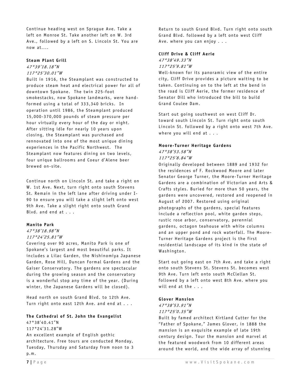Continue heading west on Sprague Ave. Take a left on Monroe St. Take another left on W. 3rd Ave., followed by a left on S. Lincoln St. You are now at....

#### **Steam Plant Grill**

47°39'18.18"N 117°25'30.01"W

Built in 1916, the Steamplant was constructed to produce steam heat and electrical power for all of downtown Spokane. The twin 225-foot smokestacks, now Spokane landmarks, were handformed using a total of 333,340 bricks. In operation until 1986, the Steamplant produced 15,000-370,000 pounds of steam pressure per hour virtually every hour of the day or night. After sitting idle for nearly 10 years upon closing, the Steamplant was purchased and rennovated into one of the most unique dining experiences in the Pacific Northwest. The Steamplant now features dining on two levels, four unique ballrooms and Coeur d'Alene beer brewed on-site.

Continue north on Lincoln St. and take a right on W. 1st Ave. Next, turn right onto south Stevens St. Remain in the left lane after driving under I-90 to ensure you will take a slight left onto west 9th Ave. Take a slight right onto south Grand Blvd. and end at . . .

#### **Manito Park**

#### 47°38'18.98"N 117°24'25.81"W

Covering over 90 acres, Manito Park is one of Spokane's largest and most beautiful parks. It includes a Lilac Garden, the Nishinomiya Japanese Garden, Rose Hill, Duncan Formal Gardens and the Gaiser Conservatory. The gardens are spectacular during the growing season and the conservatory is a wonderful stop any time of the year. (During winter, the Japanese Gardens will be closed).

Head north on south Grand Blvd. to 12th Ave. Turn right onto east 12th Ave. and end at . . .

#### **The Cathedral of St. John the Evangelist**  47°38'40.41"N

117°24'31.28"W An excellent example of English gothic architecture. Free tours are conducted Monday, Tuesday, Thursday and Saturday from noon to 3 p.m.

Return to south Grand Blvd. Turn right onto south Grand Blvd. followed by a left onto west Cliff Ave. where you can enjoy . . .

#### **Cliff Drive & Cliff Aerie**

47°38'49.33"N 117°25'9.81"W

Well-known for its panoramic view of the entire city, Cliff Drive provides a picture waiting to be taken. Continuing on to the left at the bend in the road is Cliff Aerie, the former residence of Senator Dill who introduced the bill to build Grand Coulee Dam.

Start out going southwest on west Cliff Dr. toward south Lincoln St. Turn right onto south Lincoln St. followed by a right onto west 7th Ave. where you will end at . . .

#### **Moore-Turner Heritage Gardens**

## 47°38'53.58"N

#### 117°25'8.84"W

Originally developed between 1889 and 1932 for the residences of F. Rockwood Moore and later Senator George Turner, the Moore-Turner Heritage Gardens are a combination of Victorian and Arts & Crafts styles. Buried for more than 50 years, the gardens were uncovered, restored and reopened in August of 2007. Restored using original photographs of the gardens, special features include a reflection pool, white garden steps, rustic rose arbor, conservatory, perennial gardens, octagon teahouse with white columns and an upper pond and rock waterfall. The Moore-Turner Heritage Gardens project is the first residential landscape of its kind in the state of Washington.

Start out going east on 7th Ave. and take a right onto south Stevens St. Stevens St. becomes west 9th Ave. Turn left onto south McClellan St. followed by a left onto west 8th Ave. where you will end at the . . .

#### **Glover Mansion**

## 47°38'53.91"N

## 117°25'0.35"W

Built by famed architect Kirtland Cutter for the "Father of Spokane," James Glover, in 1888 the mansion is an exquisite example of late 19th century design. Tour the mansion and marvel at the featured woodwork from 10 different areas around the world, and the wide array of stunning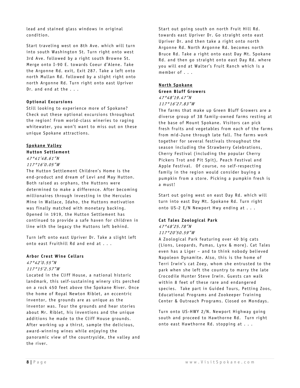lead and stained glass windows in original condition.

Start traveling west on 8th Ave. which will turn into south Washington St. Turn right onto west 3rd Ave. followed by a right south Browne St. Merge onto I-90 E. towards Coeur d'Alene. Take the Argonne Rd. exit, Exit 287. Take a left onto north Mullan Rd. followed by a slight right onto north Argonne Rd. Turn right onto east Upriver Dr. and end at the . . .

#### **Optional Excursions**

Still looking to experience more of Spokane? Check out these optional excursions throughout the region! From world-class wineries to raging whitewater, you won't want to miss out on these unique Spokane attractions.

#### **Spokane Valley**

#### **Hutton Settlement**  47°41'48.61"N 117°16'0.05"W

The Hutton Settlement Children's Home is the end-product and dream of Levi and May Hutton. Both raised as orphans, the Huttons were determined to make a difference. After becoming millionaires through investing in the Hercules Mine in Wallace, Idaho, the Huttons motivation was finally matched with monetary backing. Opened in 1919, the Hutton Settlement has continued to provide a safe haven for children in line with the legacy the Huttons left behind.

Turn left onto east Upriver Dr. Take a slight left onto east Fruithill Rd and end at . . .

#### **Arbor Crest Wine Cellars**

47°42'0.55"N 117°15'2.57"W

Located in the Cliff House, a national historic landmark, this self-sustaining winery sits perched on a rock 450 feet above the Spokane River. Once the home of Royal Newton Riblet, an eccentric inventor, the grounds are as unique as the inventor was. Tour the grounds and hear stories about Mr. Riblet, his inventions and the unique additions he made to the Cliff House grounds. After working up a thirst, sample the delicious, award-winning wines while enjoying the panoramic view of the countryside, the valley and the river.

Start out going south on north Fruit Hill Rd. towards east Upriver Dr. Go straight onto east Upriver Dr. and then take a right onto north Argonne Rd. North Argonne Rd. becomes north Bruce Rd. Take a right onto east Day Mt. Spokane Rd. and then go straight onto east Day Rd. where you will end at Walter's Fruit Ranch which is a member of . . .

#### **North Spokane Green Bluff Growers**  47°48'19.47"N

#### 117°16'27.83"W

The farms that make up Green Bluff Growers are a diverse group of 38 family-owned farms resting at the base of Mount Spokane. Visitors can pick fresh fruits and vegetables from each of the farms from mid-June through late fall. The farms work together for several festivals throughout the season including the Strawberry Celebrations, Cherry Festival (including the popular Cherry Pickers Trot and Pit Spit), Peach Festival and Apple Festival. Of course, no self-respecting family in the region would consider buying a pumpkin from a store. Picking a pumpkin fresh is a must!

Start out going west on east Day Rd. which will turn into east Day Mt. Spokane Rd. Turn right onto US-2 E/N Newport Hwy ending at . . .

#### **Cat Tales Zoological Park**

#### 47°48'25.78"N 117°20'50.59"W

A Zoological Park featuring over 40 big cats (Lions, Leopards, Pumas, Lynx & more). Cat Tales even has a Liger – and to think nobody believed Napoleon Dynamite. Also, this is the home of Terri Irwin's cat Zoey, whom she entrusted to the park when she left the country to marry the late Crocodile Hunter Steve Irwin. Guests can walk within 8 feet of these rare and endangered species. Take part in Guided Tours, Petting Zoos, Educational Programs and Zookeeper Training Center & Outreach Programs. Closed on Mondays.

Turn onto US-HWY 2/N. Newport Highway going south and proceed to Hawthorne Rd. Turn right onto east Hawthorne Rd. stopping at . . .